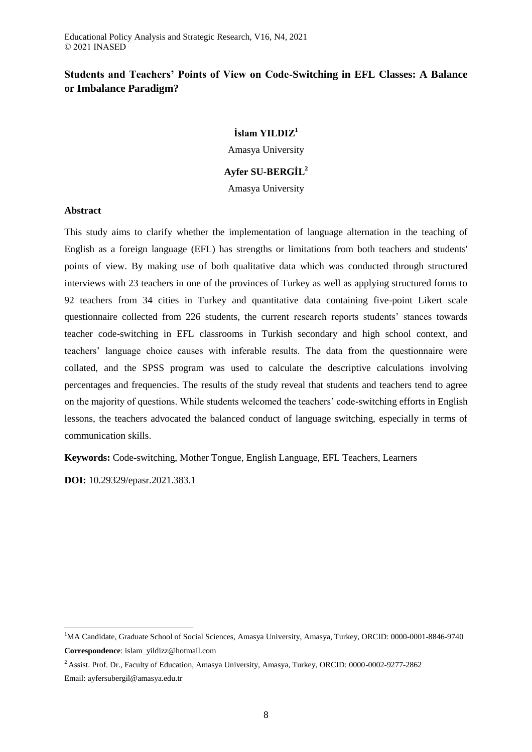# **Students and Teachers' Points of View on Code-Switching in EFL Classes: A Balance or Imbalance Paradigm?**

## **İslam YILDIZ<sup>1</sup>**

Amasya University

## **Ayfer SU-BERGİL<sup>2</sup>**

Amasya University

## **Abstract**

This study aims to clarify whether the implementation of language alternation in the teaching of English as a foreign language (EFL) has strengths or limitations from both teachers and students' points of view. By making use of both qualitative data which was conducted through structured interviews with 23 teachers in one of the provinces of Turkey as well as applying structured forms to 92 teachers from 34 cities in Turkey and quantitative data containing five-point Likert scale questionnaire collected from 226 students, the current research reports students' stances towards teacher code-switching in EFL classrooms in Turkish secondary and high school context, and teachers' language choice causes with inferable results. The data from the questionnaire were collated, and the SPSS program was used to calculate the descriptive calculations involving percentages and frequencies. The results of the study reveal that students and teachers tend to agree on the majority of questions. While students welcomed the teachers' code-switching efforts in English lessons, the teachers advocated the balanced conduct of language switching, especially in terms of communication skills.

**Keywords:** Code-switching, Mother Tongue, English Language, EFL Teachers, Learners

**DOI:** 10.29329/epasr.2021.383.1

 $\overline{\phantom{a}}$ 

<sup>&</sup>lt;sup>1</sup>MA Candidate, Graduate School of Social Sciences, Amasya University, Amasya, Turkey, ORCID: 0000-0001-8846-9740 **Correspondence**: islam\_yildizz@hotmail.com

<sup>&</sup>lt;sup>2</sup> Assist. Prof. Dr., Faculty of Education, Amasya University, Amasya, Turkey, ORCID: 0000-0002-9277-2862 Email: ayfersubergil@amasya.edu.tr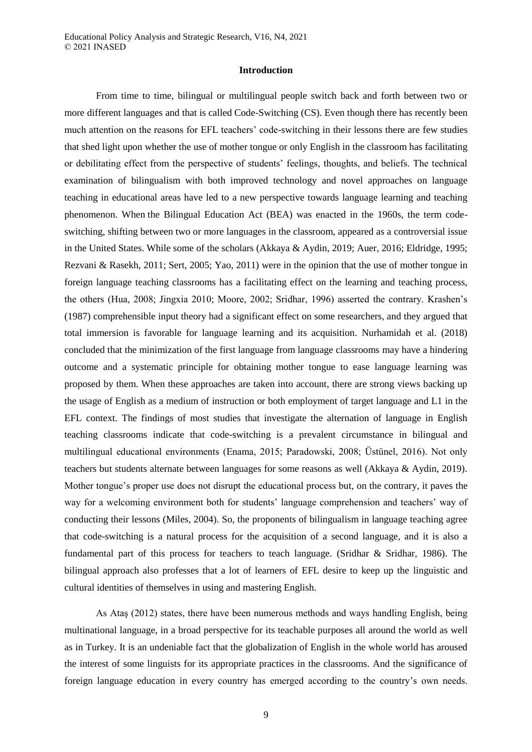#### **Introduction**

From time to time, bilingual or multilingual people switch back and forth between two or more different languages and that is called Code-Switching (CS). Even though there has recently been much attention on the reasons for EFL teachers' code-switching in their lessons there are few studies that shed light upon whether the use of mother tongue or only English in the classroom has facilitating or debilitating effect from the perspective of students' feelings, thoughts, and beliefs. The technical examination of bilingualism with both improved technology and novel approaches on language teaching in educational areas have led to a new perspective towards language learning and teaching phenomenon. When the Bilingual Education Act (BEA) was enacted in the 1960s, the term codeswitching, shifting between two or more languages in the classroom, appeared as a controversial issue in the United States. While some of the scholars (Akkaya & Aydin, 2019; Auer, 2016; Eldridge, 1995; Rezvani & Rasekh, 2011; Sert, 2005; Yao, 2011) were in the opinion that the use of mother tongue in foreign language teaching classrooms has a facilitating effect on the learning and teaching process, the others (Hua, 2008; Jingxia 2010; Moore, 2002; Sridhar, 1996) asserted the contrary. Krashen's (1987) comprehensible input theory had a significant effect on some researchers, and they argued that total immersion is favorable for language learning and its acquisition. Nurhamidah et al. (2018) concluded that the minimization of the first language from language classrooms may have a hindering outcome and a systematic principle for obtaining mother tongue to ease language learning was proposed by them. When these approaches are taken into account, there are strong views backing up the usage of English as a medium of instruction or both employment of target language and L1 in the EFL context. The findings of most studies that investigate the alternation of language in English teaching classrooms indicate that code-switching is a prevalent circumstance in bilingual and multilingual educational environments (Enama, 2015; Paradowski, 2008; Üstünel, 2016). Not only teachers but students alternate between languages for some reasons as well (Akkaya & Aydin, 2019). Mother tongue's proper use does not disrupt the educational process but, on the contrary, it paves the way for a welcoming environment both for students' language comprehension and teachers' way of conducting their lessons (Miles, 2004). So, the proponents of bilingualism in language teaching agree that code-switching is a natural process for the acquisition of a second language, and it is also a fundamental part of this process for teachers to teach language. (Sridhar & Sridhar, 1986). The bilingual approach also professes that a lot of learners of EFL desire to keep up the linguistic and cultural identities of themselves in using and mastering English.

As Ataş (2012) states, there have been numerous methods and ways handling English, being multinational language, in a broad perspective for its teachable purposes all around the world as well as in Turkey. It is an undeniable fact that the globalization of English in the whole world has aroused the interest of some linguists for its appropriate practices in the classrooms. And the significance of foreign language education in every country has emerged according to the country's own needs.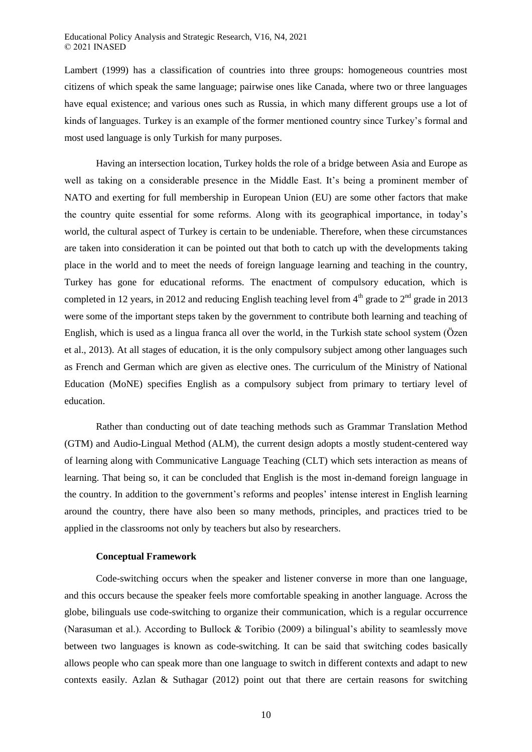#### Educational Policy Analysis and Strategic Research, V16, N4, 2021 © 2021 INASED

Lambert (1999) has a classification of countries into three groups: homogeneous countries most citizens of which speak the same language; pairwise ones like Canada, where two or three languages have equal existence; and various ones such as Russia, in which many different groups use a lot of kinds of languages. Turkey is an example of the former mentioned country since Turkey's formal and most used language is only Turkish for many purposes.

Having an intersection location, Turkey holds the role of a bridge between Asia and Europe as well as taking on a considerable presence in the Middle East. It's being a prominent member of NATO and exerting for full membership in European Union (EU) are some other factors that make the country quite essential for some reforms. Along with its geographical importance, in today's world, the cultural aspect of Turkey is certain to be undeniable. Therefore, when these circumstances are taken into consideration it can be pointed out that both to catch up with the developments taking place in the world and to meet the needs of foreign language learning and teaching in the country, Turkey has gone for educational reforms. The enactment of compulsory education, which is completed in 12 years, in 2012 and reducing English teaching level from  $4<sup>th</sup>$  grade to  $2<sup>nd</sup>$  grade in 2013 were some of the important steps taken by the government to contribute both learning and teaching of English, which is used as a lingua franca all over the world, in the Turkish state school system (Özen et al., 2013). At all stages of education, it is the only compulsory subject among other languages such as French and German which are given as elective ones. The curriculum of the Ministry of National Education (MoNE) specifies English as a compulsory subject from primary to tertiary level of education.

Rather than conducting out of date teaching methods such as Grammar Translation Method (GTM) and Audio-Lingual Method (ALM), the current design adopts a mostly student-centered way of learning along with Communicative Language Teaching (CLT) which sets interaction as means of learning. That being so, it can be concluded that English is the most in-demand foreign language in the country. In addition to the government's reforms and peoples' intense interest in English learning around the country, there have also been so many methods, principles, and practices tried to be applied in the classrooms not only by teachers but also by researchers.

#### **Conceptual Framework**

Code-switching occurs when the speaker and listener converse in more than one language, and this occurs because the speaker feels more comfortable speaking in another language. Across the globe, bilinguals use code-switching to organize their communication, which is a regular occurrence (Narasuman et al.). According to Bullock & Toribio (2009) a bilingual's ability to seamlessly move between two languages is known as code-switching. It can be said that switching codes basically allows people who can speak more than one language to switch in different contexts and adapt to new contexts easily. Azlan & Suthagar (2012) point out that there are certain reasons for switching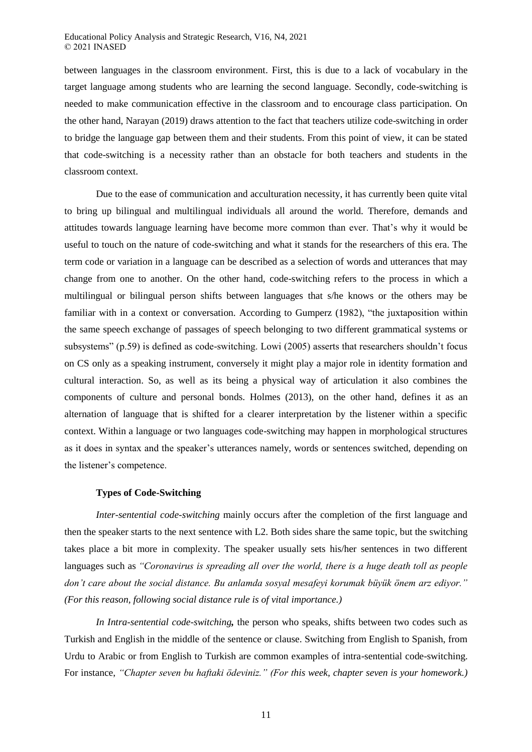between languages in the classroom environment. First, this is due to a lack of vocabulary in the target language among students who are learning the second language. Secondly, code-switching is needed to make communication effective in the classroom and to encourage class participation. On the other hand, Narayan (2019) draws attention to the fact that teachers utilize code-switching in order to bridge the language gap between them and their students. From this point of view, it can be stated that code-switching is a necessity rather than an obstacle for both teachers and students in the classroom context.

Due to the ease of communication and acculturation necessity, it has currently been quite vital to bring up bilingual and multilingual individuals all around the world. Therefore, demands and attitudes towards language learning have become more common than ever. That's why it would be useful to touch on the nature of code-switching and what it stands for the researchers of this era. The term code or variation in a language can be described as a selection of words and utterances that may change from one to another. On the other hand, code-switching refers to the process in which a multilingual or bilingual person shifts between languages that s/he knows or the others may be familiar with in a context or conversation. According to Gumperz (1982), "the juxtaposition within the same speech exchange of passages of speech belonging to two different grammatical systems or subsystems" (p.59) is defined as code-switching. Lowi (2005) asserts that researchers shouldn't focus on CS only as a speaking instrument, conversely it might play a major role in identity formation and cultural interaction. So, as well as its being a physical way of articulation it also combines the components of culture and personal bonds. Holmes (2013), on the other hand, defines it as an alternation of language that is shifted for a clearer interpretation by the listener within a specific context. Within a language or two languages code-switching may happen in morphological structures as it does in syntax and the speaker's utterances namely, words or sentences switched, depending on the listener's competence.

### **Types of Code-Switching**

*Inter-sentential code-switching* mainly occurs after the completion of the first language and then the speaker starts to the next sentence with L2. Both sides share the same topic, but the switching takes place a bit more in complexity. The speaker usually sets his/her sentences in two different languages such as *"Coronavirus is spreading all over the world, there is a huge death toll as people don't care about the social distance. Bu anlamda sosyal mesafeyi korumak büyük önem arz ediyor." (For this reason, following social distance rule is of vital importance.)*

*In Intra-sentential code-switching,* the person who speaks, shifts between two codes such as Turkish and English in the middle of the sentence or clause. Switching from English to Spanish, from Urdu to Arabic or from English to Turkish are common examples of intra-sentential code-switching. For instance, *"Chapter seven bu haftaki ödeviniz." (For this week, chapter seven is your homework.)*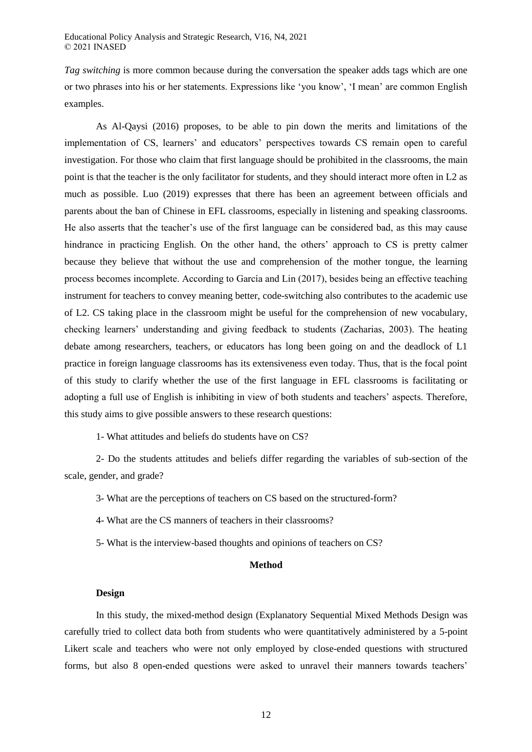*Tag switching* is more common because during the conversation the speaker adds tags which are one or two phrases into his or her statements. Expressions like 'you know', 'I mean' are common English examples.

As Al-Qaysi (2016) proposes, to be able to pin down the merits and limitations of the implementation of CS, learners' and educators' perspectives towards CS remain open to careful investigation. For those who claim that first language should be prohibited in the classrooms, the main point is that the teacher is the only facilitator for students, and they should interact more often in L2 as much as possible. Luo (2019) expresses that there has been an agreement between officials and parents about the ban of Chinese in EFL classrooms, especially in listening and speaking classrooms. He also asserts that the teacher's use of the first language can be considered bad, as this may cause hindrance in practicing English. On the other hand, the others' approach to CS is pretty calmer because they believe that without the use and comprehension of the mother tongue, the learning process becomes incomplete. According to García and Lin (2017), besides being an effective teaching instrument for teachers to convey meaning better, code-switching also contributes to the academic use of L2. CS taking place in the classroom might be useful for the comprehension of new vocabulary, checking learners' understanding and giving feedback to students (Zacharias, 2003). The heating debate among researchers, teachers, or educators has long been going on and the deadlock of L1 practice in foreign language classrooms has its extensiveness even today. Thus, that is the focal point of this study to clarify whether the use of the first language in EFL classrooms is facilitating or adopting a full use of English is inhibiting in view of both students and teachers' aspects. Therefore, this study aims to give possible answers to these research questions:

1- What attitudes and beliefs do students have on CS?

2- Do the students attitudes and beliefs differ regarding the variables of sub-section of the scale, gender, and grade?

3- What are the perceptions of teachers on CS based on the structured-form?

4- What are the CS manners of teachers in their classrooms?

5- What is the interview-based thoughts and opinions of teachers on CS?

## **Method**

#### **Design**

In this study, the mixed-method design (Explanatory Sequential Mixed Methods Design was carefully tried to collect data both from students who were quantitatively administered by a 5-point Likert scale and teachers who were not only employed by close-ended questions with structured forms, but also 8 open-ended questions were asked to unravel their manners towards teachers'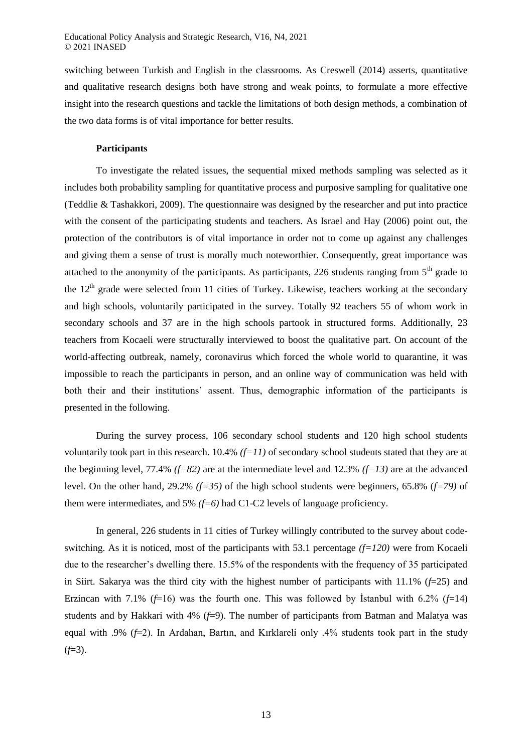switching between Turkish and English in the classrooms. As Creswell (2014) asserts, quantitative and qualitative research designs both have strong and weak points, to formulate a more effective insight into the research questions and tackle the limitations of both design methods, a combination of the two data forms is of vital importance for better results.

#### **Participants**

To investigate the related issues, the sequential mixed methods sampling was selected as it includes both probability sampling for quantitative process and purposive sampling for qualitative one (Teddlie & Tashakkori, 2009). The questionnaire was designed by the researcher and put into practice with the consent of the participating students and teachers. As Israel and Hay (2006) point out, the protection of the contributors is of vital importance in order not to come up against any challenges and giving them a sense of trust is morally much noteworthier. Consequently, great importance was attached to the anonymity of the participants. As participants, 226 students ranging from  $5<sup>th</sup>$  grade to the  $12<sup>th</sup>$  grade were selected from 11 cities of Turkey. Likewise, teachers working at the secondary and high schools, voluntarily participated in the survey. Totally 92 teachers 55 of whom work in secondary schools and 37 are in the high schools partook in structured forms. Additionally, 23 teachers from Kocaeli were structurally interviewed to boost the qualitative part. On account of the world-affecting outbreak, namely, coronavirus which forced the whole world to quarantine, it was impossible to reach the participants in person, and an online way of communication was held with both their and their institutions' assent. Thus, demographic information of the participants is presented in the following.

During the survey process, 106 secondary school students and 120 high school students voluntarily took part in this research. 10.4% *(f=11)* of secondary school students stated that they are at the beginning level, 77.4% *(f=82)* are at the intermediate level and 12.3% *(f=13)* are at the advanced level. On the other hand, 29.2% *(f=35)* of the high school students were beginners, 65.8% (*f=79)* of them were intermediates, and 5% *(f=6)* had C1-C2 levels of language proficiency.

In general, 226 students in 11 cities of Turkey willingly contributed to the survey about codeswitching. As it is noticed, most of the participants with 53.1 percentage *(f=120)* were from Kocaeli due to the researcher's dwelling there. 15.5% of the respondents with the frequency of 35 participated in Siirt. Sakarya was the third city with the highest number of participants with 11.1% (*f*=25) and Erzincan with 7.1% (*f*=16) was the fourth one. This was followed by İstanbul with 6.2% (*f*=14) students and by Hakkari with 4% (*f*=9). The number of participants from Batman and Malatya was equal with .9% (*f*=2). In Ardahan, Bartın, and Kırklareli only .4% students took part in the study  $(f=3)$ .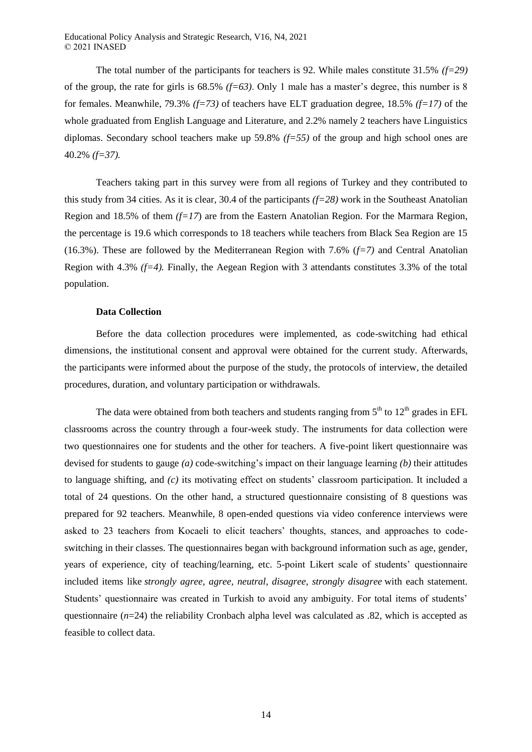The total number of the participants for teachers is 92. While males constitute 31.5% *(f=29)* of the group, the rate for girls is 68.5% *(f=63)*. Only 1 male has a master's degree, this number is 8 for females. Meanwhile, 79.3% *(f=73)* of teachers have ELT graduation degree, 18.5% *(f=17)* of the whole graduated from English Language and Literature, and 2.2% namely 2 teachers have Linguistics diplomas. Secondary school teachers make up 59.8% *(f=55)* of the group and high school ones are 40.2% *(f=37).*

Teachers taking part in this survey were from all regions of Turkey and they contributed to this study from 34 cities. As it is clear, 30.4 of the participants *(f=28)* work in the Southeast Anatolian Region and 18.5% of them *(f=17*) are from the Eastern Anatolian Region. For the Marmara Region, the percentage is 19.6 which corresponds to 18 teachers while teachers from Black Sea Region are 15 (16.3%). These are followed by the Mediterranean Region with 7.6% (*f=7)* and Central Anatolian Region with 4.3% *(f=4).* Finally, the Aegean Region with 3 attendants constitutes 3.3% of the total population.

### **Data Collection**

Before the data collection procedures were implemented, as code-switching had ethical dimensions, the institutional consent and approval were obtained for the current study. Afterwards, the participants were informed about the purpose of the study, the protocols of interview, the detailed procedures, duration, and voluntary participation or withdrawals.

The data were obtained from both teachers and students ranging from  $5<sup>th</sup>$  to  $12<sup>th</sup>$  grades in EFL classrooms across the country through a four-week study. The instruments for data collection were two questionnaires one for students and the other for teachers. A five-point likert questionnaire was devised for students to gauge *(a)* code-switching's impact on their language learning *(b)* their attitudes to language shifting, and *(c)* its motivating effect on students' classroom participation. It included a total of 24 questions. On the other hand, a structured questionnaire consisting of 8 questions was prepared for 92 teachers. Meanwhile, 8 open-ended questions via video conference interviews were asked to 23 teachers from Kocaeli to elicit teachers' thoughts, stances, and approaches to codeswitching in their classes. The questionnaires began with background information such as age, gender, years of experience, city of teaching/learning, etc. 5-point Likert scale of students' questionnaire included items like *strongly agree, agree, neutral, disagree, strongly disagree* with each statement. Students' questionnaire was created in Turkish to avoid any ambiguity. For total items of students' questionnaire (*n*=24) the reliability Cronbach alpha level was calculated as .82, which is accepted as feasible to collect data.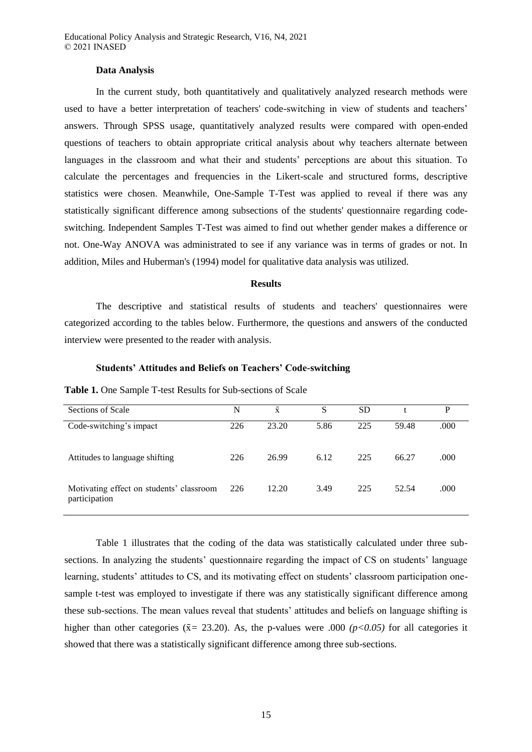#### **Data Analysis**

In the current study, both quantitatively and qualitatively analyzed research methods were used to have a better interpretation of teachers' code-switching in view of students and teachers' answers. Through SPSS usage, quantitatively analyzed results were compared with open-ended questions of teachers to obtain appropriate critical analysis about why teachers alternate between languages in the classroom and what their and students' perceptions are about this situation. To calculate the percentages and frequencies in the Likert-scale and structured forms, descriptive statistics were chosen. Meanwhile, One-Sample T-Test was applied to reveal if there was any statistically significant difference among subsections of the students' questionnaire regarding codeswitching. Independent Samples T-Test was aimed to find out whether gender makes a difference or not. One-Way ANOVA was administrated to see if any variance was in terms of grades or not. In addition, Miles and Huberman's (1994) model for qualitative data analysis was utilized.

### **Results**

The descriptive and statistical results of students and teachers' questionnaires were categorized according to the tables below. Furthermore, the questions and answers of the conducted interview were presented to the reader with analysis.

### **Students' Attitudes and Beliefs on Teachers' Code-switching**

| Sections of Scale                                         | N   | $\bar{x}$ | S    | <b>SD</b> |       | P    |
|-----------------------------------------------------------|-----|-----------|------|-----------|-------|------|
| Code-switching's impact                                   | 226 | 23.20     | 5.86 | 225       | 59.48 | .000 |
| Attitudes to language shifting                            | 226 | 26.99     | 6.12 | 225       | 66.27 | .000 |
| Motivating effect on students' classroom<br>participation | 226 | 12.20     | 3.49 | 225       | 52.54 | .000 |

**Table 1.** One Sample T-test Results for Sub-sections of Scale

Table 1 illustrates that the coding of the data was statistically calculated under three subsections. In analyzing the students' questionnaire regarding the impact of CS on students' language learning, students' attitudes to CS, and its motivating effect on students' classroom participation onesample t-test was employed to investigate if there was any statistically significant difference among these sub-sections. The mean values reveal that students' attitudes and beliefs on language shifting is higher than other categories ( $\bar{x}$  = 23.20). As, the p-values were .000 *(p<0.05)* for all categories it showed that there was a statistically significant difference among three sub-sections.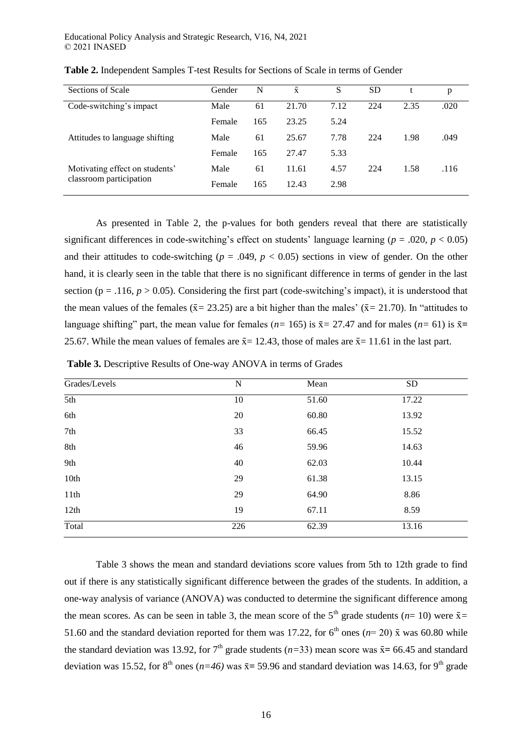| Sections of Scale                                         | Gender | N   | $\bar{x}$ | S    | SD  |      | р    |
|-----------------------------------------------------------|--------|-----|-----------|------|-----|------|------|
| Code-switching's impact                                   | Male   | 61  | 21.70     | 7.12 | 224 | 2.35 | .020 |
|                                                           | Female | 165 | 23.25     | 5.24 |     |      |      |
| Attitudes to language shifting                            | Male   | 61  | 25.67     | 7.78 | 224 | 1.98 | .049 |
|                                                           | Female | 165 | 27.47     | 5.33 |     |      |      |
| Motivating effect on students'<br>classroom participation | Male   | 61  | 11.61     | 4.57 | 224 | 1.58 | .116 |
|                                                           | Female | 165 | 12.43     | 2.98 |     |      |      |

**Table 2.** Independent Samples T-test Results for Sections of Scale in terms of Gender

As presented in Table 2, the p-values for both genders reveal that there are statistically significant differences in code-switching's effect on students' language learning ( $p = .020$ ,  $p < 0.05$ ) and their attitudes to code-switching ( $p = .049$ ,  $p < 0.05$ ) sections in view of gender. On the other hand, it is clearly seen in the table that there is no significant difference in terms of gender in the last section ( $p = .116$ ,  $p > 0.05$ ). Considering the first part (code-switching's impact), it is understood that the mean values of the females ( $\bar{x}$  = 23.25) are a bit higher than the males' ( $\bar{x}$  = 21.70). In "attitudes to language shifting" part, the mean value for females ( $n= 165$ ) is  $\bar{x} = 27.47$  and for males ( $n= 61$ ) is  $\bar{x} =$ 25.67. While the mean values of females are  $\bar{x}$  = 12.43, those of males are  $\bar{x}$  = 11.61 in the last part.

| <b>Table 3.</b> Descriptive Results of One-way ANOVA in terms of Grades |  |  |  |
|-------------------------------------------------------------------------|--|--|--|
|                                                                         |  |  |  |

| Grades/Levels    | N   | Mean  | <b>SD</b> |
|------------------|-----|-------|-----------|
| $\overline{5th}$ | 10  | 51.60 | 17.22     |
| 6th              | 20  | 60.80 | 13.92     |
| 7th              | 33  | 66.45 | 15.52     |
| 8th              | 46  | 59.96 | 14.63     |
| 9th              | 40  | 62.03 | 10.44     |
| 10th             | 29  | 61.38 | 13.15     |
| 11th             | 29  | 64.90 | 8.86      |
| 12th             | 19  | 67.11 | 8.59      |
| Total            | 226 | 62.39 | 13.16     |

Table 3 shows the mean and standard deviations score values from 5th to 12th grade to find out if there is any statistically significant difference between the grades of the students. In addition, a one-way analysis of variance (ANOVA) was conducted to determine the significant difference among the mean scores. As can be seen in table 3, the mean score of the  $5<sup>th</sup>$  grade students ( $n=10$ ) were  $\bar{x}$  = 51.60 and the standard deviation reported for them was 17.22, for  $6<sup>th</sup>$  ones ( $n=20$ )  $\bar{x}$  was 60.80 while the standard deviation was 13.92, for  $7<sup>th</sup>$  grade students (*n*=33) mean score was  $\bar{x}$  = 66.45 and standard deviation was 15.52, for 8<sup>th</sup> ones ( $n=46$ ) was  $\bar{x}$  = 59.96 and standard deviation was 14.63, for 9<sup>th</sup> grade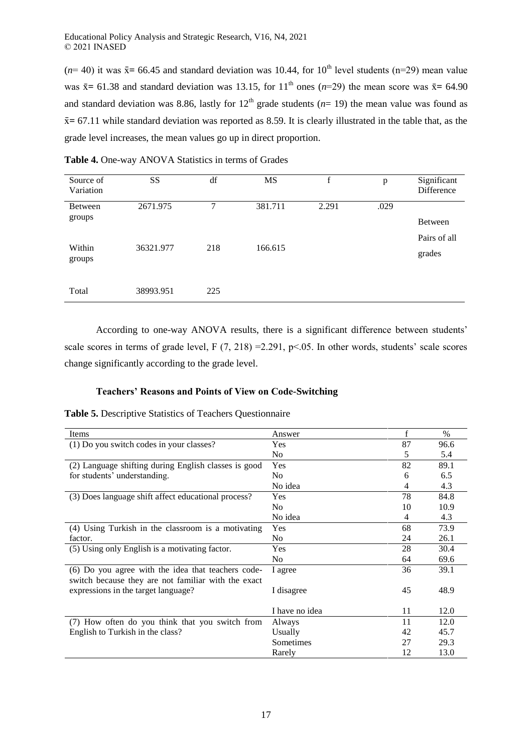( $n=40$ ) it was  $\bar{x}$  = 66.45 and standard deviation was 10.44, for 10<sup>th</sup> level students (n=29) mean value was  $\bar{x}$  = 61.38 and standard deviation was 13.15, for 11<sup>th</sup> ones (*n*=29) the mean score was  $\bar{x}$  = 64.90 and standard deviation was 8.86, lastly for  $12<sup>th</sup>$  grade students ( $n=19$ ) the mean value was found as  $\bar{x}$  = 67.11 while standard deviation was reported as 8.59. It is clearly illustrated in the table that, as the grade level increases, the mean values go up in direct proportion.

| Source of<br>Variation | SS        | df  | <b>MS</b> | f     | p    | Significant<br>Difference |
|------------------------|-----------|-----|-----------|-------|------|---------------------------|
| Between<br>groups      | 2671.975  | 7   | 381.711   | 2.291 | .029 | Between                   |
| Within<br>groups       | 36321.977 | 218 | 166.615   |       |      | Pairs of all<br>grades    |
| Total                  | 38993.951 | 225 |           |       |      |                           |

**Table 4.** One-way ANOVA Statistics in terms of Grades

According to one-way ANOVA results, there is a significant difference between students' scale scores in terms of grade level, F (7, 218) = 2.291, p < 05. In other words, students' scale scores change significantly according to the grade level.

## **Teachers' Reasons and Points of View on Code-Switching**

**Table 5.** Descriptive Statistics of Teachers Questionnaire

| Items                                                | Answer         | f  | $\%$ |
|------------------------------------------------------|----------------|----|------|
| (1) Do you switch codes in your classes?             | <b>Yes</b>     | 87 | 96.6 |
|                                                      | No             | 5  | 5.4  |
| (2) Language shifting during English classes is good | <b>Yes</b>     | 82 | 89.1 |
| for students' understanding.                         | N <sub>0</sub> | 6  | 6.5  |
|                                                      | No idea        | 4  | 4.3  |
| (3) Does language shift affect educational process?  | <b>Yes</b>     | 78 | 84.8 |
|                                                      | N <sub>0</sub> | 10 | 10.9 |
|                                                      | No idea        | 4  | 4.3  |
| (4) Using Turkish in the classroom is a motivating   | Yes            | 68 | 73.9 |
| factor.                                              | No.            | 24 | 26.1 |
| (5) Using only English is a motivating factor.       | Yes            | 28 | 30.4 |
|                                                      | No             | 64 | 69.6 |
| (6) Do you agree with the idea that teachers code-   | I agree        | 36 | 39.1 |
| switch because they are not familiar with the exact  |                |    |      |
| expressions in the target language?                  | I disagree     | 45 | 48.9 |
|                                                      |                |    |      |
|                                                      | I have no idea | 11 | 12.0 |
| (7) How often do you think that you switch from      | Always         | 11 | 12.0 |
| English to Turkish in the class?                     | Usually        | 42 | 45.7 |
|                                                      | Sometimes      | 27 | 29.3 |
|                                                      | Rarely         | 12 | 13.0 |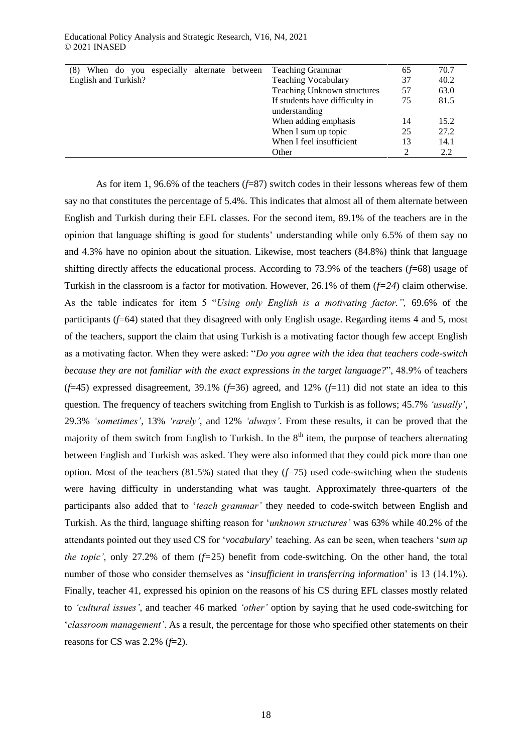| 70.7 |
|------|
| 40.2 |
| 63.0 |
| 81.5 |
|      |
| 15.2 |
| 27.2 |
| 14.1 |
| 2.2  |
|      |

As for item 1, 96.6% of the teachers (*f*=87) switch codes in their lessons whereas few of them say no that constitutes the percentage of 5.4%. This indicates that almost all of them alternate between English and Turkish during their EFL classes. For the second item, 89.1% of the teachers are in the opinion that language shifting is good for students' understanding while only 6.5% of them say no and 4.3% have no opinion about the situation. Likewise, most teachers (84.8%) think that language shifting directly affects the educational process. According to 73.9% of the teachers (*f*=68) usage of Turkish in the classroom is a factor for motivation. However, 26.1% of them (*f=24*) claim otherwise. As the table indicates for item 5 "*Using only English is a motivating factor.",* 69.6% of the participants (*f*=64) stated that they disagreed with only English usage. Regarding items 4 and 5, most of the teachers, support the claim that using Turkish is a motivating factor though few accept English as a motivating factor. When they were asked: "*Do you agree with the idea that teachers code-switch because they are not familiar with the exact expressions in the target language?*", 48.9% of teachers  $(f=45)$  expressed disagreement, 39.1%  $(f=36)$  agreed, and 12%  $(f=11)$  did not state an idea to this question. The frequency of teachers switching from English to Turkish is as follows; 45.7% *'usually'*, 29.3% *'sometimes'*, 13% *'rarely'*, and 12% *'always'*. From these results, it can be proved that the majority of them switch from English to Turkish. In the  $8<sup>th</sup>$  item, the purpose of teachers alternating between English and Turkish was asked. They were also informed that they could pick more than one option. Most of the teachers (81.5%) stated that they (*f*=75) used code-switching when the students were having difficulty in understanding what was taught. Approximately three-quarters of the participants also added that to '*teach grammar'* they needed to code-switch between English and Turkish. As the third, language shifting reason for '*unknown structures'* was 63% while 40.2% of the attendants pointed out they used CS for '*vocabulary*' teaching. As can be seen, when teachers '*sum up the topic'*, only 27.2% of them (*f=*25) benefit from code-switching. On the other hand, the total number of those who consider themselves as '*insufficient in transferring information*' is 13 (14.1%). Finally, teacher 41, expressed his opinion on the reasons of his CS during EFL classes mostly related to *'cultural issues'*, and teacher 46 marked *'other'* option by saying that he used code-switching for '*classroom management'*. As a result, the percentage for those who specified other statements on their reasons for CS was 2.2% (*f*=2).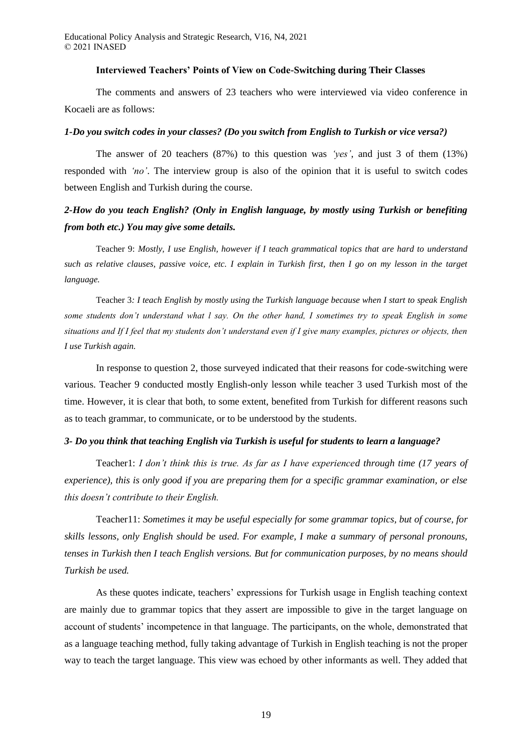Educational Policy Analysis and Strategic Research, V16, N4, 2021 © 2021 INASED

#### **Interviewed Teachers' Points of View on Code-Switching during Their Classes**

The comments and answers of 23 teachers who were interviewed via video conference in Kocaeli are as follows:

### *1-Do you switch codes in your classes? (Do you switch from English to Turkish or vice versa?)*

The answer of 20 teachers (87%) to this question was *'yes'*, and just 3 of them (13%) responded with *'no'*. The interview group is also of the opinion that it is useful to switch codes between English and Turkish during the course.

## *2-How do you teach English? (Only in English language, by mostly using Turkish or benefiting from both etc.) You may give some details.*

Teacher 9: *Mostly, I use English, however if I teach grammatical topics that are hard to understand such as relative clauses, passive voice, etc. I explain in Turkish first, then I go on my lesson in the target language.*

Teacher 3*: I teach English by mostly using the Turkish language because when I start to speak English some students don't understand what l say. On the other hand, I sometimes try to speak English in some situations and If I feel that my students don't understand even if I give many examples, pictures or objects, then I use Turkish again.*

In response to question 2, those surveyed indicated that their reasons for code-switching were various. Teacher 9 conducted mostly English-only lesson while teacher 3 used Turkish most of the time. However, it is clear that both, to some extent, benefited from Turkish for different reasons such as to teach grammar, to communicate, or to be understood by the students.

#### *3- Do you think that teaching English via Turkish is useful for students to learn a language?*

Teacher1: *I don't think this is true. As far as I have experienced through time (17 years of experience), this is only good if you are preparing them for a specific grammar examination, or else this doesn't contribute to their English.*

Teacher11: *Sometimes it may be useful especially for some grammar topics, but of course, for skills lessons, only English should be used. For example, I make a summary of personal pronouns, tenses in Turkish then I teach English versions. But for communication purposes, by no means should Turkish be used.*

As these quotes indicate, teachers' expressions for Turkish usage in English teaching context are mainly due to grammar topics that they assert are impossible to give in the target language on account of students' incompetence in that language. The participants, on the whole, demonstrated that as a language teaching method, fully taking advantage of Turkish in English teaching is not the proper way to teach the target language. This view was echoed by other informants as well. They added that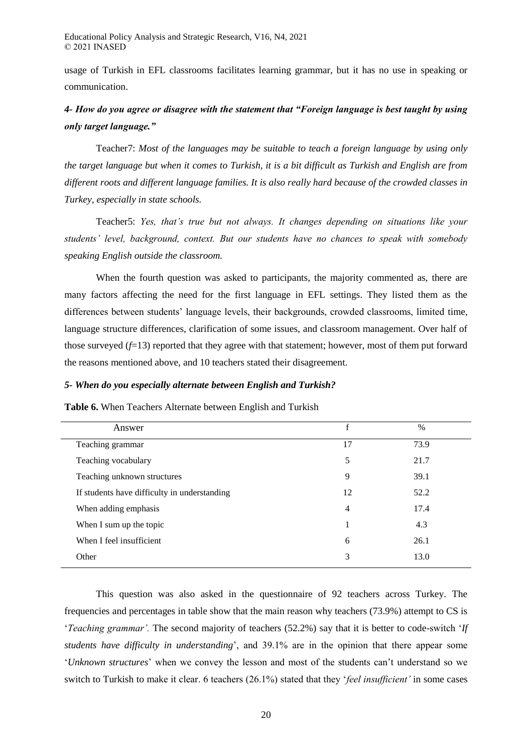usage of Turkish in EFL classrooms facilitates learning grammar, but it has no use in speaking or communication.

# *4- How do you agree or disagree with the statement that "Foreign language is best taught by using only target language."*

Teacher7: *Most of the languages may be suitable to teach a foreign language by using only the target language but when it comes to Turkish, it is a bit difficult as Turkish and English are from different roots and different language families. It is also really hard because of the crowded classes in Turkey, especially in state schools.*

Teacher5: *Yes, that's true but not always. It changes depending on situations like your students' level, background, context. But our students have no chances to speak with somebody speaking English outside the classroom.*

When the fourth question was asked to participants, the majority commented as, there are many factors affecting the need for the first language in EFL settings. They listed them as the differences between students' language levels, their backgrounds, crowded classrooms, limited time, language structure differences, clarification of some issues, and classroom management. Over half of those surveyed  $(f=13)$  reported that they agree with that statement; however, most of them put forward the reasons mentioned above, and 10 teachers stated their disagreement.

### *5- When do you especially alternate between English and Turkish?*

**Table 6.** When Teachers Alternate between English and Turkish

| Answer                                       | f  | $\frac{0}{0}$ |  |
|----------------------------------------------|----|---------------|--|
| Teaching grammar                             | 17 | 73.9          |  |
| Teaching vocabulary                          | 5  | 21.7          |  |
| Teaching unknown structures                  | 9  | 39.1          |  |
| If students have difficulty in understanding | 12 | 52.2          |  |
| When adding emphasis                         | 4  | 17.4          |  |
| When I sum up the topic                      | 1  | 4.3           |  |
| When I feel insufficient                     | 6  | 26.1          |  |
| Other                                        | 3  | 13.0          |  |
|                                              |    |               |  |

This question was also asked in the questionnaire of 92 teachers across Turkey. The frequencies and percentages in table show that the main reason why teachers (73.9%) attempt to CS is '*Teaching grammar'.* The second majority of teachers (52.2%) say that it is better to code-switch '*If students have difficulty in understanding*', and 39.1% are in the opinion that there appear some '*Unknown structures*' when we convey the lesson and most of the students can't understand so we switch to Turkish to make it clear. 6 teachers (26.1%) stated that they '*feel insufficient'* in some cases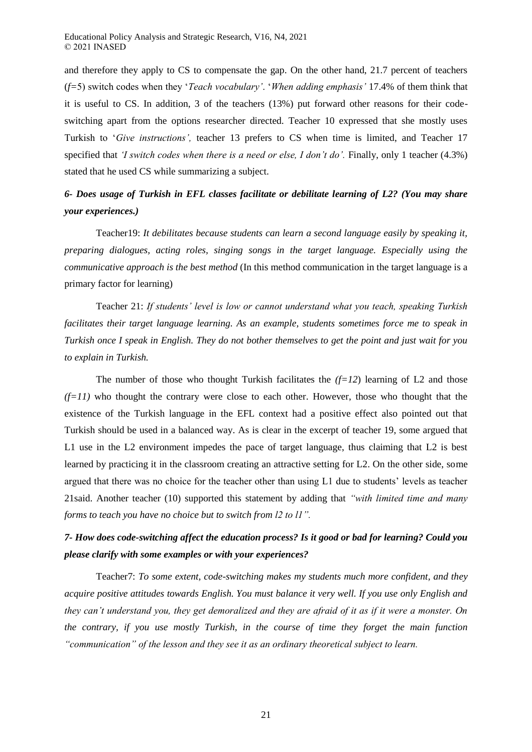and therefore they apply to CS to compensate the gap. On the other hand, 21.7 percent of teachers (*f=*5) switch codes when they '*Teach vocabulary'*. '*When adding emphasis'* 17.4% of them think that it is useful to CS. In addition, 3 of the teachers (13%) put forward other reasons for their codeswitching apart from the options researcher directed. Teacher 10 expressed that she mostly uses Turkish to '*Give instructions',* teacher 13 prefers to CS when time is limited, and Teacher 17 specified that *'I switch codes when there is a need or else, I don't do'*. Finally, only 1 teacher (4.3%) stated that he used CS while summarizing a subject.

# *6- Does usage of Turkish in EFL classes facilitate or debilitate learning of L2? (You may share your experiences.)*

Teacher19: *It debilitates because students can learn a second language easily by speaking it, preparing dialogues, acting roles, singing songs in the target language. Especially using the communicative approach is the best method* (In this method communication in the target language is a primary factor for learning)

Teacher 21: *If students' level is low or cannot understand what you teach, speaking Turkish facilitates their target language learning. As an example, students sometimes force me to speak in Turkish once I speak in English. They do not bother themselves to get the point and just wait for you to explain in Turkish.*

The number of those who thought Turkish facilitates the  $(f=12)$  learning of L2 and those  $(f=11)$  who thought the contrary were close to each other. However, those who thought that the existence of the Turkish language in the EFL context had a positive effect also pointed out that Turkish should be used in a balanced way. As is clear in the excerpt of teacher 19, some argued that L1 use in the L2 environment impedes the pace of target language, thus claiming that L2 is best learned by practicing it in the classroom creating an attractive setting for L2. On the other side, some argued that there was no choice for the teacher other than using L1 due to students' levels as teacher 21said. Another teacher (10) supported this statement by adding that *"with limited time and many forms to teach you have no choice but to switch from l2 to l1".*

# *7- How does code-switching affect the education process? Is it good or bad for learning? Could you please clarify with some examples or with your experiences?*

Teacher7: *To some extent, code-switching makes my students much more confident, and they acquire positive attitudes towards English. You must balance it very well. If you use only English and they can't understand you, they get demoralized and they are afraid of it as if it were a monster. On the contrary, if you use mostly Turkish, in the course of time they forget the main function "communication" of the lesson and they see it as an ordinary theoretical subject to learn.*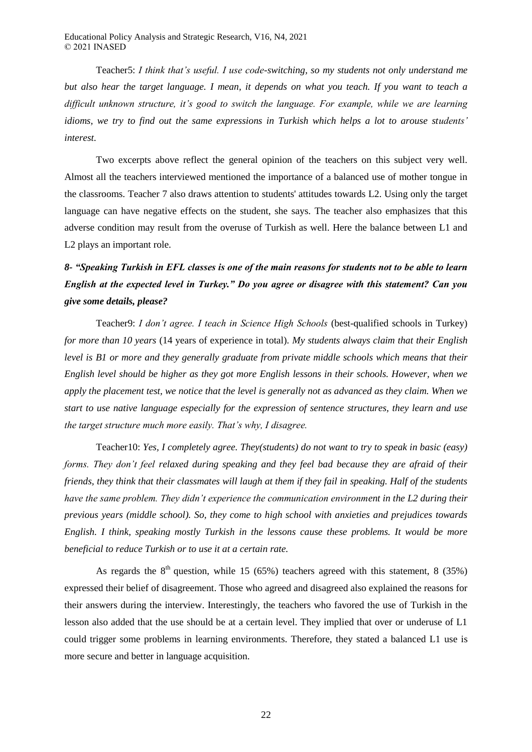Teacher5: *I think that's useful. I use code-switching, so my students not only understand me but also hear the target language. I mean, it depends on what you teach. If you want to teach a difficult unknown structure, it's good to switch the language. For example, while we are learning idioms, we try to find out the same expressions in Turkish which helps a lot to arouse students' interest.*

Two excerpts above reflect the general opinion of the teachers on this subject very well. Almost all the teachers interviewed mentioned the importance of a balanced use of mother tongue in the classrooms. Teacher 7 also draws attention to students' attitudes towards L2. Using only the target language can have negative effects on the student, she says. The teacher also emphasizes that this adverse condition may result from the overuse of Turkish as well. Here the balance between L1 and L2 plays an important role.

# *8- "Speaking Turkish in EFL classes is one of the main reasons for students not to be able to learn English at the expected level in Turkey." Do you agree or disagree with this statement? Can you give some details, please?*

Teacher9: *I don't agree. I teach in Science High Schools* (best-qualified schools in Turkey) *for more than 10 years* (14 years of experience in total)*. My students always claim that their English level is B1 or more and they generally graduate from private middle schools which means that their English level should be higher as they got more English lessons in their schools. However, when we apply the placement test, we notice that the level is generally not as advanced as they claim. When we start to use native language especially for the expression of sentence structures, they learn and use the target structure much more easily. That's why, I disagree.*

Teacher10: *Yes, I completely agree. They(students) do not want to try to speak in basic (easy) forms. They don't feel relaxed during speaking and they feel bad because they are afraid of their friends, they think that their classmates will laugh at them if they fail in speaking. Half of the students have the same problem. They didn't experience the communication environment in the L2 during their previous years (middle school). So, they come to high school with anxieties and prejudices towards English. I think, speaking mostly Turkish in the lessons cause these problems. It would be more beneficial to reduce Turkish or to use it at a certain rate.*

As regards the  $8<sup>th</sup>$  question, while 15 (65%) teachers agreed with this statement, 8 (35%) expressed their belief of disagreement. Those who agreed and disagreed also explained the reasons for their answers during the interview. Interestingly, the teachers who favored the use of Turkish in the lesson also added that the use should be at a certain level. They implied that over or underuse of L1 could trigger some problems in learning environments. Therefore, they stated a balanced L1 use is more secure and better in language acquisition.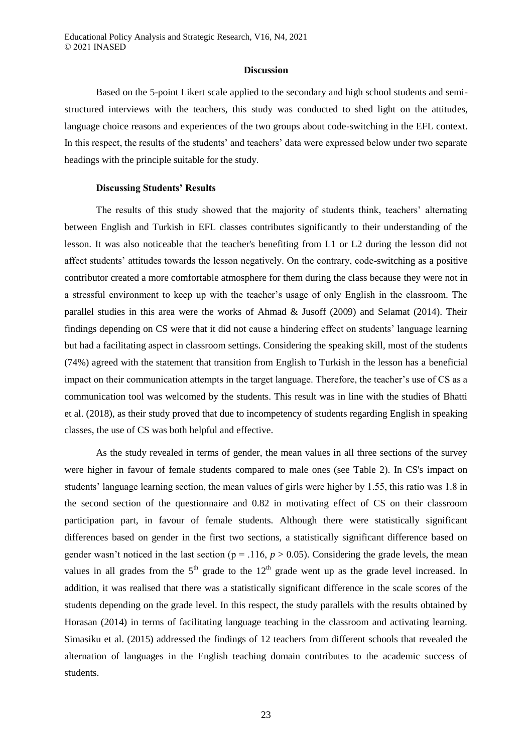#### **Discussion**

Based on the 5-point Likert scale applied to the secondary and high school students and semistructured interviews with the teachers, this study was conducted to shed light on the attitudes, language choice reasons and experiences of the two groups about code-switching in the EFL context. In this respect, the results of the students' and teachers' data were expressed below under two separate headings with the principle suitable for the study.

#### **Discussing Students' Results**

The results of this study showed that the majority of students think, teachers' alternating between English and Turkish in EFL classes contributes significantly to their understanding of the lesson. It was also noticeable that the teacher's benefiting from L1 or L2 during the lesson did not affect students' attitudes towards the lesson negatively. On the contrary, code-switching as a positive contributor created a more comfortable atmosphere for them during the class because they were not in a stressful environment to keep up with the teacher's usage of only English in the classroom. The parallel studies in this area were the works of Ahmad & Jusoff (2009) and Selamat (2014). Their findings depending on CS were that it did not cause a hindering effect on students' language learning but had a facilitating aspect in classroom settings. Considering the speaking skill, most of the students (74%) agreed with the statement that transition from English to Turkish in the lesson has a beneficial impact on their communication attempts in the target language. Therefore, the teacher's use of CS as a communication tool was welcomed by the students. This result was in line with the studies of Bhatti et al. (2018), as their study proved that due to incompetency of students regarding English in speaking classes, the use of CS was both helpful and effective.

As the study revealed in terms of gender, the mean values in all three sections of the survey were higher in favour of female students compared to male ones (see Table 2). In CS's impact on students' language learning section, the mean values of girls were higher by 1.55, this ratio was 1.8 in the second section of the questionnaire and 0.82 in motivating effect of CS on their classroom participation part, in favour of female students. Although there were statistically significant differences based on gender in the first two sections, a statistically significant difference based on gender wasn't noticed in the last section ( $p = .116$ ,  $p > 0.05$ ). Considering the grade levels, the mean values in all grades from the  $5<sup>th</sup>$  grade to the  $12<sup>th</sup>$  grade went up as the grade level increased. In addition, it was realised that there was a statistically significant difference in the scale scores of the students depending on the grade level. In this respect, the study parallels with the results obtained by Horasan (2014) in terms of facilitating language teaching in the classroom and activating learning. Simasiku et al. (2015) addressed the findings of 12 teachers from different schools that revealed the alternation of languages in the English teaching domain contributes to the academic success of students.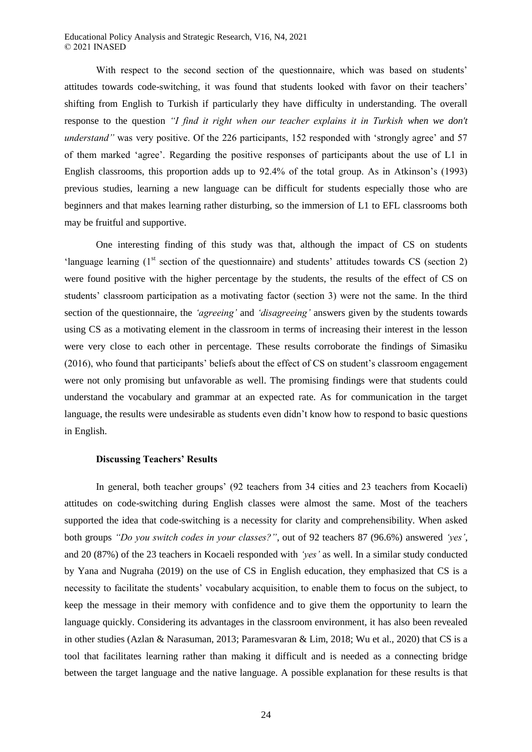Educational Policy Analysis and Strategic Research, V16, N4, 2021 © 2021 INASED

With respect to the second section of the questionnaire, which was based on students' attitudes towards code-switching, it was found that students looked with favor on their teachers' shifting from English to Turkish if particularly they have difficulty in understanding. The overall response to the question *"I find it right when our teacher explains it in Turkish when we don't understand*" was very positive. Of the 226 participants, 152 responded with 'strongly agree' and 57 of them marked 'agree'. Regarding the positive responses of participants about the use of L1 in English classrooms, this proportion adds up to 92.4% of the total group. As in Atkinson's (1993) previous studies, learning a new language can be difficult for students especially those who are beginners and that makes learning rather disturbing, so the immersion of L1 to EFL classrooms both may be fruitful and supportive.

One interesting finding of this study was that, although the impact of CS on students 'language learning  $(1<sup>st</sup> section of the questionnaire)$  and students' attitudes towards CS (section 2) were found positive with the higher percentage by the students, the results of the effect of CS on students' classroom participation as a motivating factor (section 3) were not the same. In the third section of the questionnaire, the *'agreeing'* and *'disagreeing'* answers given by the students towards using CS as a motivating element in the classroom in terms of increasing their interest in the lesson were very close to each other in percentage. These results corroborate the findings of Simasiku (2016), who found that participants' beliefs about the effect of CS on student's classroom engagement were not only promising but unfavorable as well. The promising findings were that students could understand the vocabulary and grammar at an expected rate. As for communication in the target language, the results were undesirable as students even didn't know how to respond to basic questions in English.

#### **Discussing Teachers' Results**

In general, both teacher groups' (92 teachers from 34 cities and 23 teachers from Kocaeli) attitudes on code-switching during English classes were almost the same. Most of the teachers supported the idea that code-switching is a necessity for clarity and comprehensibility. When asked both groups *"Do you switch codes in your classes?"*, out of 92 teachers 87 (96.6%) answered *'yes'*, and 20 (87%) of the 23 teachers in Kocaeli responded with *'yes'* as well. In a similar study conducted by Yana and Nugraha (2019) on the use of CS in English education, they emphasized that CS is a necessity to facilitate the students' vocabulary acquisition, to enable them to focus on the subject, to keep the message in their memory with confidence and to give them the opportunity to learn the language quickly. Considering its advantages in the classroom environment, it has also been revealed in other studies (Azlan & Narasuman, 2013; Paramesvaran & Lim, 2018; Wu et al., 2020) that CS is a tool that facilitates learning rather than making it difficult and is needed as a connecting bridge between the target language and the native language. A possible explanation for these results is that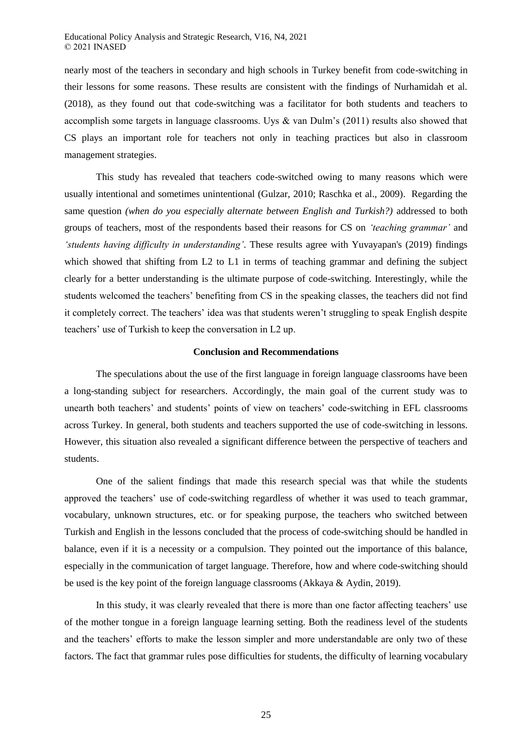nearly most of the teachers in secondary and high schools in Turkey benefit from code-switching in their lessons for some reasons. These results are consistent with the findings of Nurhamidah et al. (2018), as they found out that code-switching was a facilitator for both students and teachers to accomplish some targets in language classrooms. Uys & van Dulm's (2011) results also showed that CS plays an important role for teachers not only in teaching practices but also in classroom management strategies.

This study has revealed that teachers code-switched owing to many reasons which were usually intentional and sometimes unintentional (Gulzar, 2010; Raschka et al., 2009). Regarding the same question *(when do you especially alternate between English and Turkish?)* addressed to both groups of teachers, most of the respondents based their reasons for CS on *'teaching grammar'* and *'students having difficulty in understanding'*. These results agree with Yuvayapan's (2019) findings which showed that shifting from L2 to L1 in terms of teaching grammar and defining the subject clearly for a better understanding is the ultimate purpose of code-switching. Interestingly, while the students welcomed the teachers' benefiting from CS in the speaking classes, the teachers did not find it completely correct. The teachers' idea was that students weren't struggling to speak English despite teachers' use of Turkish to keep the conversation in L2 up.

### **Conclusion and Recommendations**

The speculations about the use of the first language in foreign language classrooms have been a long-standing subject for researchers. Accordingly, the main goal of the current study was to unearth both teachers' and students' points of view on teachers' code-switching in EFL classrooms across Turkey. In general, both students and teachers supported the use of code-switching in lessons. However, this situation also revealed a significant difference between the perspective of teachers and students.

One of the salient findings that made this research special was that while the students approved the teachers' use of code-switching regardless of whether it was used to teach grammar, vocabulary, unknown structures, etc. or for speaking purpose, the teachers who switched between Turkish and English in the lessons concluded that the process of code-switching should be handled in balance, even if it is a necessity or a compulsion. They pointed out the importance of this balance, especially in the communication of target language. Therefore, how and where code-switching should be used is the key point of the foreign language classrooms (Akkaya & Aydin, 2019).

In this study, it was clearly revealed that there is more than one factor affecting teachers' use of the mother tongue in a foreign language learning setting. Both the readiness level of the students and the teachers' efforts to make the lesson simpler and more understandable are only two of these factors. The fact that grammar rules pose difficulties for students, the difficulty of learning vocabulary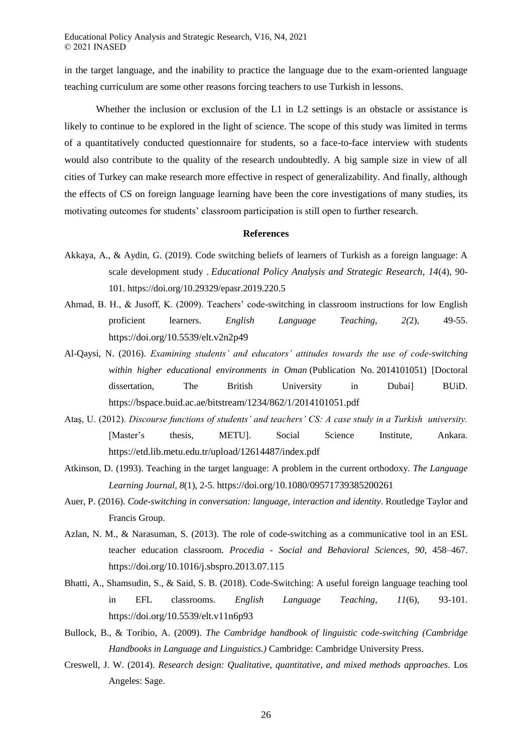in the target language, and the inability to practice the language due to the exam-oriented language teaching curriculum are some other reasons forcing teachers to use Turkish in lessons.

Whether the inclusion or exclusion of the L1 in L2 settings is an obstacle or assistance is likely to continue to be explored in the light of science. The scope of this study was limited in terms of a quantitatively conducted questionnaire for students, so a face-to-face interview with students would also contribute to the quality of the research undoubtedly. A big sample size in view of all cities of Turkey can make research more effective in respect of generalizability. And finally, although the effects of CS on foreign language learning have been the core investigations of many studies, its motivating outcomes for students' classroom participation is still open to further research.

#### **References**

- Akkaya, A., & Aydin, G. (2019). Code switching beliefs of learners of Turkish as a foreign language: A scale development study . *Educational Policy Analysis and Strategic Research, 14*(4), 90- 101. https://doi.org/10.29329/epasr.2019.220.5
- Ahmad, B. H., & Jusoff, K. (2009). Teachers' code-switching in classroom instructions for low English proficient learners. *English Language Teaching, 2(*2), 49-55. https://doi.org/10.5539/elt.v2n2p49
- Al-Qaysi, N. (2016). *Examining students' and educators' attitudes towards the use of code-switching within higher educational environments in Oman* (Publication No. 2014101051) [Doctoral dissertation, The British University in Dubai] BUiD. https://bspace.buid.ac.ae/bitstream/1234/862/1/2014101051.pdf
- Ataş, U. (2012). *Discourse functions of students' and teachers' CS: A case study in a Turkish university.* [Master's thesis, METU]. Social Science Institute, Ankara. https://etd.lib.metu.edu.tr/upload/12614487/index.pdf
- Atkinson, D. (1993). Teaching in the target language: A problem in the current orthodoxy. *The Language Learning Journal, 8*(1), 2-5. https://doi.org/10.1080/09571739385200261
- Auer, P. (2016). *Code-switching in conversation: language, interaction and identity*. Routledge Taylor and Francis Group.
- Azlan, N. M., & Narasuman, S. (2013). The role of code-switching as a communicative tool in an ESL teacher education classroom. *Procedia - Social and Behavioral Sciences*, *90*, 458–467. https://doi.org/10.1016/j.sbspro.2013.07.115
- Bhatti, A., Shamsudin, S., & Said, S. B. (2018). Code-Switching: A useful foreign language teaching tool in EFL classrooms. *English Language Teaching*, *11*(6), 93-101. https://doi.org/10.5539/elt.v11n6p93
- Bullock, B., & Toribio, A. (2009). *The Cambridge handbook of linguistic code-switching (Cambridge Handbooks in Language and Linguistics.)* Cambridge: Cambridge University Press.
- Creswell, J. W. (2014). *Research design: Qualitative, quantitative, and mixed methods approaches*. Los Angeles: Sage.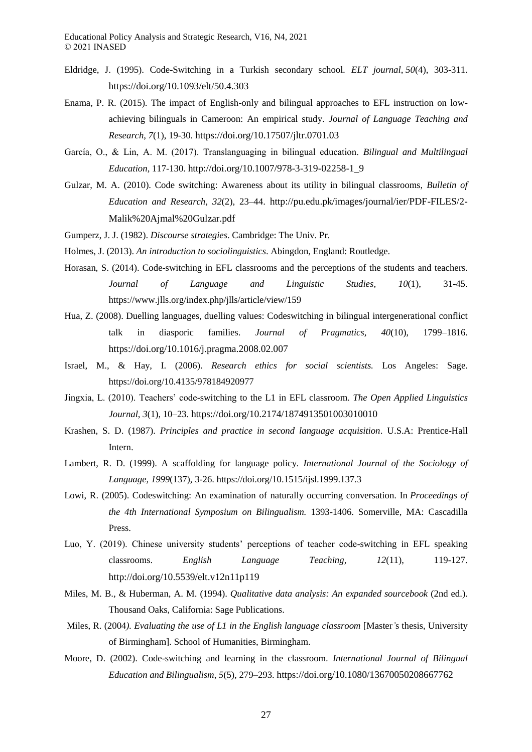- Eldridge, J. (1995). Code-Switching in a Turkish secondary school*. ELT journal*, *50*(4), 303-311. https://doi.org/10.1093/elt/50.4.303
- Enama, P. R. (2015). The impact of English-only and bilingual approaches to EFL instruction on lowachieving bilinguals in Cameroon: An empirical study. *Journal of Language Teaching and Research*, *7*(1), 19-30. https://doi.org/10.17507/jltr.0701.03
- García, O., & Lin, A. M. (2017). Translanguaging in bilingual education. *Bilingual and Multilingual Education,* 117-130. http://doi.org/10.1007/978-3-319-02258-1\_9
- Gulzar, M. A. (2010). Code switching: Awareness about its utility in bilingual classrooms, *Bulletin of Education and Research*, *32*(2), 23–44. http://pu.edu.pk/images/journal/ier/PDF-FILES/2- Malik%20Ajmal%20Gulzar.pdf
- Gumperz, J. J. (1982). *Discourse strategies*. Cambridge: The Univ. Pr.
- Holmes, J. (2013). *An introduction to sociolinguistics*. Abingdon, England: Routledge.
- Horasan, S. (2014). Code-switching in EFL classrooms and the perceptions of the students and teachers. *Journal of Language and Linguistic Studies, 10*(1), 31-45. https://www.jlls.org/index.php/jlls/article/view/159
- Hua, Z. (2008). Duelling languages, duelling values: Codeswitching in bilingual intergenerational conflict talk in diasporic families. *Journal of Pragmatics*, *40*(10), 1799–1816. https://doi.org/10.1016/j.pragma.2008.02.007
- Israel, M., & Hay, I. (2006). *Research ethics for social scientists.* Los Angeles: Sage. https://doi.org/10.4135/978184920977
- Jingxia, L. (2010). Teachers' code-switching to the L1 in EFL classroom. *The Open Applied Linguistics Journal*, *3*(1), 10–23. https://doi.org/10.2174/1874913501003010010
- Krashen, S. D. (1987). *Principles and practice in second language acquisition*. U.S.A: Prentice-Hall Intern.
- Lambert, R. D. (1999). A scaffolding for language policy. *International Journal of the Sociology of Language, 1999*(137), 3-26. https://doi.org/10.1515/ijsl.1999.137.3
- Lowi, R. (2005). Codeswitching: An examination of naturally occurring conversation. In *Proceedings of the 4th International Symposium on Bilingualism.* 1393-1406. Somerville, MA: Cascadilla Press.
- Luo, Y. (2019). Chinese university students' perceptions of teacher code-switching in EFL speaking classrooms. *English Language Teaching, 12*(11), 119-127. http://doi.org/10.5539/elt.v12n11p119
- Miles, M. B., & Huberman, A. M. (1994). *Qualitative data analysis: An expanded sourcebook* (2nd ed.). Thousand Oaks, California: Sage Publications.
- Miles, R. (2004*). Evaluating the use of L1 in the English language classroom* [Master*'*s thesis, University of Birmingham]. School of Humanities, Birmingham.
- Moore, D. (2002). Code-switching and learning in the classroom. *International Journal of Bilingual Education and Bilingualism*, *5*(5), 279–293. https://doi.org/10.1080/13670050208667762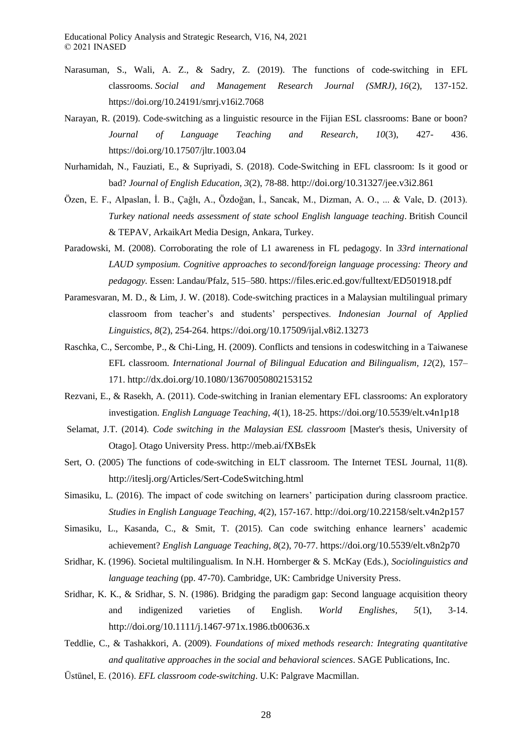- Narasuman, S., Wali, A. Z., & Sadry, Z. (2019). The functions of code-switching in EFL classrooms. *Social and Management Research Journal (SMRJ)*, *16*(2), 137-152. https://doi.org/10.24191/smrj.v16i2.7068
- Narayan, R. (2019). Code-switching as a linguistic resource in the Fijian ESL classrooms: Bane or boon? *Journal of Language Teaching and Research*, *10*(3), 427- 436. https://doi.org/10.17507/jltr.1003.04
- Nurhamidah, N., Fauziati, E., & Supriyadi, S. (2018). Code-Switching in EFL classroom: Is it good or bad? *Journal of English Education, 3*(2), 78-88. http://doi.org/10.31327/jee.v3i2.861
- Özen, E. F., Alpaslan, İ. B., Çağlı, A., Özdoğan, İ., Sancak, M., Dizman, A. O., ... & Vale, D. (2013). *Turkey national needs assessment of state school English language teaching*. British Council & TEPAV, ArkaikArt Media Design, Ankara, Turkey.
- Paradowski, M. (2008). Corroborating the role of L1 awareness in FL pedagogy. In *33rd international LAUD symposium. Cognitive approaches to second/foreign language processing: Theory and pedagogy.* Essen: Landau/Pfalz, 515–580. https://files.eric.ed.gov/fulltext/ED501918.pdf
- Paramesvaran, M. D., & Lim, J. W. (2018). Code-switching practices in a Malaysian multilingual primary classroom from teacher's and students' perspectives. *Indonesian Journal of Applied Linguistics*, *8*(2), 254-264. https://doi.org/10.17509/ijal.v8i2.13273
- Raschka, C., Sercombe, P., & Chi-Ling, H. (2009). Conflicts and tensions in codeswitching in a Taiwanese EFL classroom. *International Journal of Bilingual Education and Bilingualism, 12*(2), 157– 171. http://dx.doi.org/10.1080/13670050802153152
- Rezvani, E., & Rasekh, A. (2011). Code-switching in Iranian elementary EFL classrooms: An exploratory investigation. *English Language Teaching*, *4*(1), 18-25. https://doi.org/10.5539/elt.v4n1p18
- Selamat, J.T. (2014). *Code switching in the Malaysian ESL classroom* [Master's thesis, University of Otago]. Otago University Press. http://meb.ai/fXBsEk
- Sert, O. (2005) The functions of code-switching in ELT classroom. The Internet TESL Journal, 11(8). http://iteslj.org/Articles/Sert-CodeSwitching.html
- Simasiku, L. (2016). The impact of code switching on learners' participation during classroom practice. *Studies in English Language Teaching, 4*(2), 157-167. http://doi.org/10.22158/selt.v4n2p157
- Simasiku, L., Kasanda, C., & Smit, T. (2015). Can code switching enhance learners' academic achievement? *English Language Teaching*, *8*(2), 70-77. https://doi.org/10.5539/elt.v8n2p70
- Sridhar, K. (1996). Societal multilingualism. In N.H. Hornberger & S. McKay (Eds.), *Sociolinguistics and language teaching* (pp. 47-70). Cambridge, UK: Cambridge University Press.
- Sridhar, K. K., & Sridhar, S. N. (1986). Bridging the paradigm gap: Second language acquisition theory and indigenized varieties of English. *World Englishes, 5*(1), 3-14. http://doi.org/10.1111/j.1467-971x.1986.tb00636.x
- Teddlie, C., & Tashakkori, A. (2009). *Foundations of mixed methods research: Integrating quantitative and qualitative approaches in the social and behavioral sciences*. SAGE Publications, Inc.
- Üstünel, E. (2016). *EFL classroom code-switching*. U.K: Palgrave Macmillan.